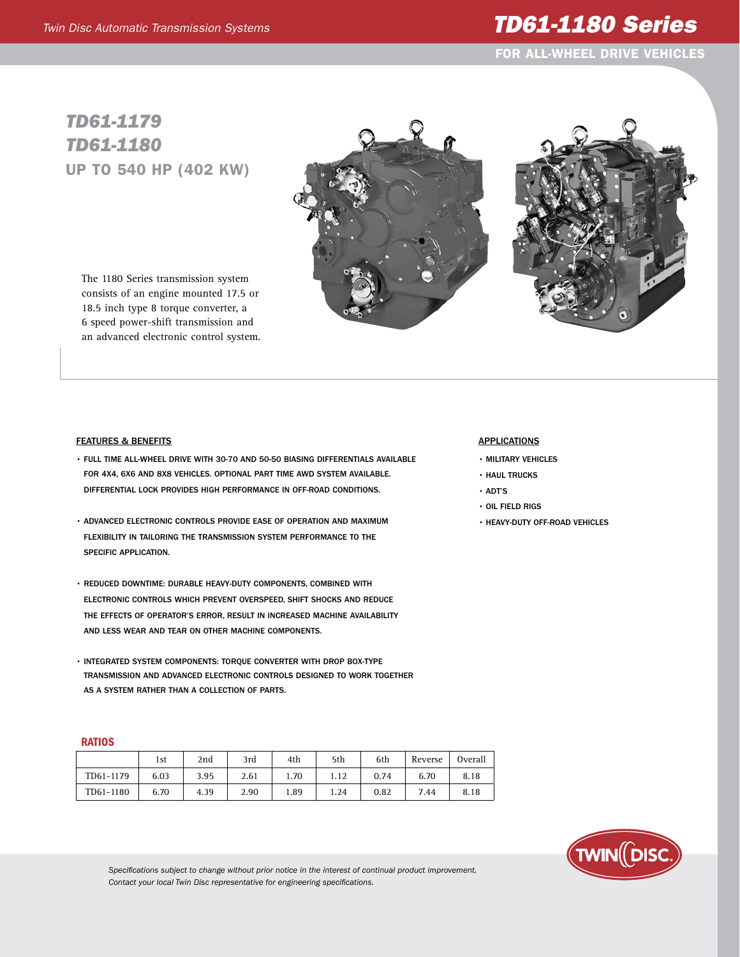# *Twin Disc Automatic Transmission Systems TD61-1180 Series*

For ALL-WHeel Drive Vehicles

## *TD61-1179 TD61-1180* Up to 540 hp (402 kw)





The 1180 Series transmission system consists of an engine mounted 17.5 or 18.5 inch type 8 torque converter, a 6 speed power-shift transmission and an advanced electronic control system.

#### Features & Benefits

- Full time all-wheel drive with 30-70 and 50-50 biasing differentials available for 4x4, 6x6 and 8x8 vehicles. Optional part time AWD system available. differential lock provides high performance in off-road conditions.
- Advanced electronic controls provide ease of operation and maximum flexibility in tailoring the transmission system performance to the specific application.
- Reduced downtime: Durable heavy-duty components, combined with electronic controls which prevent overspeed, shift shocks and reduce the effects of operator's error, result in increased machine availability and less wear and tear on other machine components.
- INTEGRATED SYSTEM COMPONENTS: TOROUE CONVERTER WITH DROP BOX-TYPE transmission and advanced electronic controls designed to work together as a system rather than a collection of parts.

### **RATIOS**

|           | 1st  | 2nd  | 3rd  | 4th  | 5th  | 6th  | Reverse | Overall |
|-----------|------|------|------|------|------|------|---------|---------|
| TD61-1179 | 6.03 | 3.95 | 2.61 | 1.70 | 1.12 | 0.74 | 6.70    | 8.18    |
| TD61-1180 | 6.70 | 4.39 | 2.90 | 1.89 | 1.24 | 0.82 | 7.44    | 8.18    |

#### **APPLICATIONS**

- Military vehicles
- Haul trucks
- ADT's
- Oil field rigs
- Heavy-duty off-road vehicles



*Specifications subject to change without prior notice in the interest of continual product improvement. Contact your local Twin Disc representative for engineering specifications.*